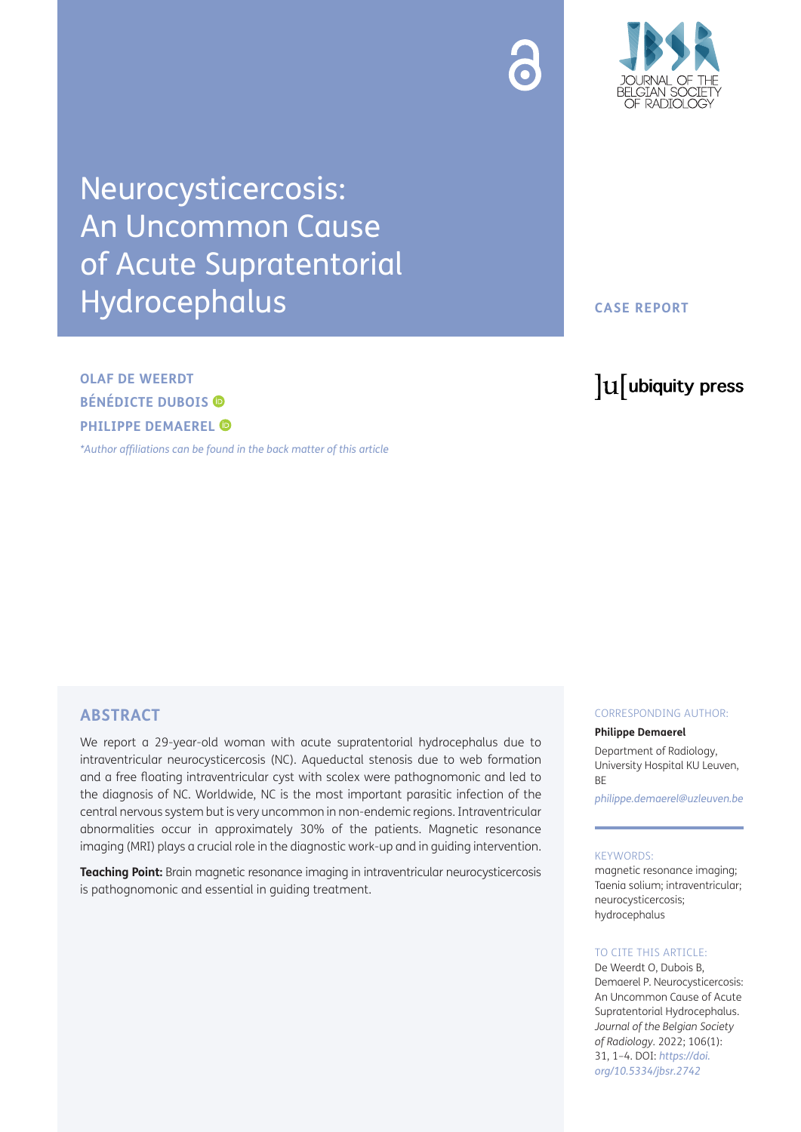



Neurocysticercosis: An Uncommon Cause of Acute Supratentorial Hydrocephalus

**OLAF DE WEERDT BÉNÉDICTE DUBOIS PHILIPPE DEMAEREL** 

*[\\*Author affiliations can be found in the back matter of this article](#page-2-0)*

**CASE REPORT**

# lu ubiquity press

## **ABSTRACT**

We report a 29-year-old woman with acute supratentorial hydrocephalus due to intraventricular neurocysticercosis (NC). Aqueductal stenosis due to web formation and a free floating intraventricular cyst with scolex were pathognomonic and led to the diagnosis of NC. Worldwide, NC is the most important parasitic infection of the central nervous system but is very uncommon in non-endemic regions. Intraventricular abnormalities occur in approximately 30% of the patients. Magnetic resonance imaging (MRI) plays a crucial role in the diagnostic work-up and in guiding intervention.

**Teaching Point:** Brain magnetic resonance imaging in intraventricular neurocysticercosis is pathognomonic and essential in guiding treatment.

#### CORRESPONDING AUTHOR:

#### **Philippe Demaerel**

Department of Radiology, University Hospital KU Leuven, **BF** 

*[philippe.demaerel@uzleuven.be](mailto:philippe.demaerel@uzleuven.be)*

#### KEYWORDS:

magnetic resonance imaging; Taenia solium; intraventricular; neurocysticercosis; hydrocephalus

#### TO CITE THIS ARTICLE:

De Weerdt O, Dubois B, Demaerel P. Neurocysticercosis: An Uncommon Cause of Acute Supratentorial Hydrocephalus. *Journal of the Belgian Society of Radiology.* 2022; 106(1): 31, 1–4. DOI: *[https://doi.](https://doi.org/10.5334/jbsr.2742) [org/10.5334/jbsr.2742](https://doi.org/10.5334/jbsr.2742)*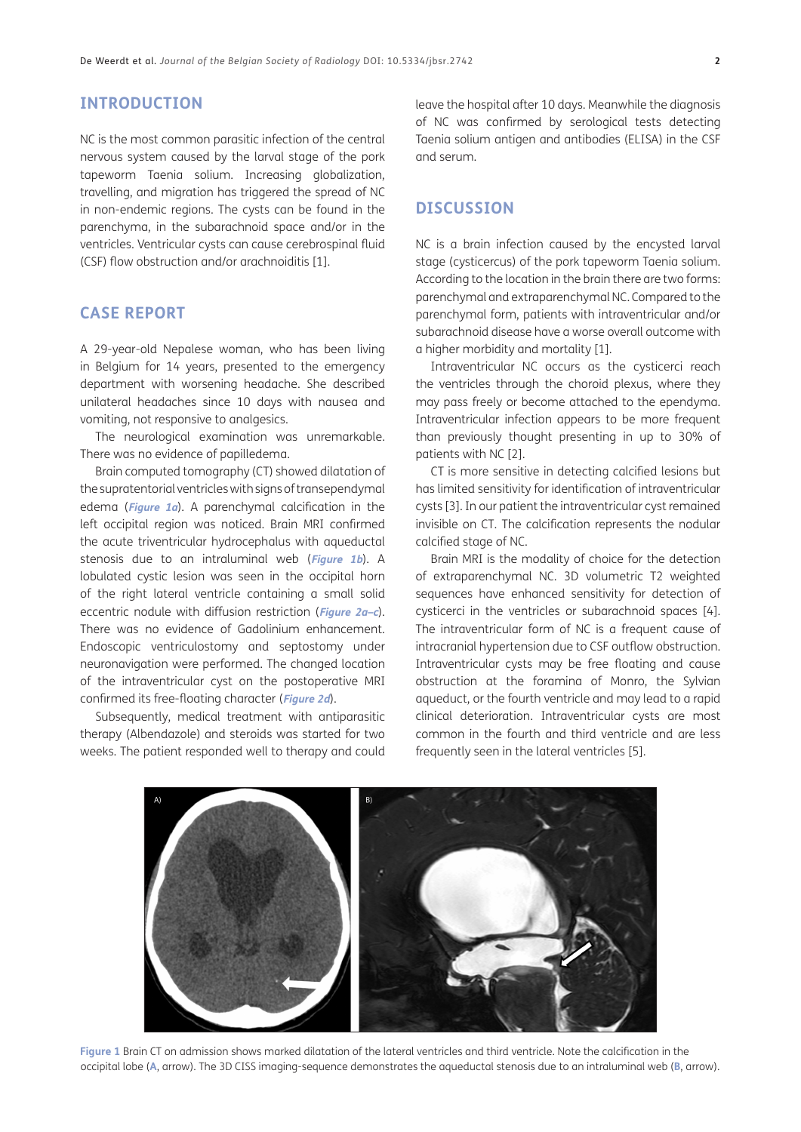# **INTRODUCTION**

NC is the most common parasitic infection of the central nervous system caused by the larval stage of the pork tapeworm Taenia solium. Increasing globalization, travelling, and migration has triggered the spread of NC in non-endemic regions. The cysts can be found in the parenchyma, in the subarachnoid space and/or in the ventricles. Ventricular cysts can cause cerebrospinal fluid (CSF) flow obstruction and/or arachnoiditis [\[1](#page-2-1)].

## **CASE REPORT**

A 29-year-old Nepalese woman, who has been living in Belgium for 14 years, presented to the emergency department with worsening headache. She described unilateral headaches since 10 days with nausea and vomiting, not responsive to analgesics.

The neurological examination was unremarkable. There was no evidence of papilledema.

Brain computed tomography (CT) showed dilatation of the supratentorial ventricles with signs of transependymal edema (**[Figure 1a](#page-1-0)**). A parenchymal calcification in the left occipital region was noticed. Brain MRI confirmed the acute triventricular hydrocephalus with aqueductal stenosis due to an intraluminal web (**[Figure 1b](#page-1-0)**). A lobulated cystic lesion was seen in the occipital horn of the right lateral ventricle containing a small solid eccentric nodule with diffusion restriction (**[Figure 2a–c](#page-2-2)**). There was no evidence of Gadolinium enhancement. Endoscopic ventriculostomy and septostomy under neuronavigation were performed. The changed location of the intraventricular cyst on the postoperative MRI confirmed its free-floating character (**[Figure 2d](#page-2-2)**).

Subsequently, medical treatment with antiparasitic therapy (Albendazole) and steroids was started for two weeks. The patient responded well to therapy and could leave the hospital after 10 days. Meanwhile the diagnosis of NC was confirmed by serological tests detecting Taenia solium antigen and antibodies (ELISA) in the CSF and serum.

#### **DISCUSSION**

NC is a brain infection caused by the encysted larval stage (cysticercus) of the pork tapeworm Taenia solium. According to the location in the brain there are two forms: parenchymal and extraparenchymal NC. Compared to the parenchymal form, patients with intraventricular and/or subarachnoid disease have a worse overall outcome with a higher morbidity and mortality [[1\]](#page-2-1).

Intraventricular NC occurs as the cysticerci reach the ventricles through the choroid plexus, where they may pass freely or become attached to the ependyma. Intraventricular infection appears to be more frequent than previously thought presenting in up to 30% of patients with NC [\[2](#page-2-3)].

CT is more sensitive in detecting calcified lesions but has limited sensitivity for identification of intraventricular cysts [[3\]](#page-2-4). In our patient the intraventricular cyst remained invisible on CT. The calcification represents the nodular calcified stage of NC.

Brain MRI is the modality of choice for the detection of extraparenchymal NC. 3D volumetric T2 weighted sequences have enhanced sensitivity for detection of cysticerci in the ventricles or subarachnoid spaces [\[4\]](#page-2-5). The intraventricular form of NC is a frequent cause of intracranial hypertension due to CSF outflow obstruction. Intraventricular cysts may be free floating and cause obstruction at the foramina of Monro, the Sylvian aqueduct, or the fourth ventricle and may lead to a rapid clinical deterioration. Intraventricular cysts are most common in the fourth and third ventricle and are less frequently seen in the lateral ventricles [5].

<span id="page-1-0"></span>

**Figure 1** Brain CT on admission shows marked dilatation of the lateral ventricles and third ventricle. Note the calcification in the occipital lobe (**A**, arrow). The 3D CISS imaging-sequence demonstrates the aqueductal stenosis due to an intraluminal web (**B**, arrow).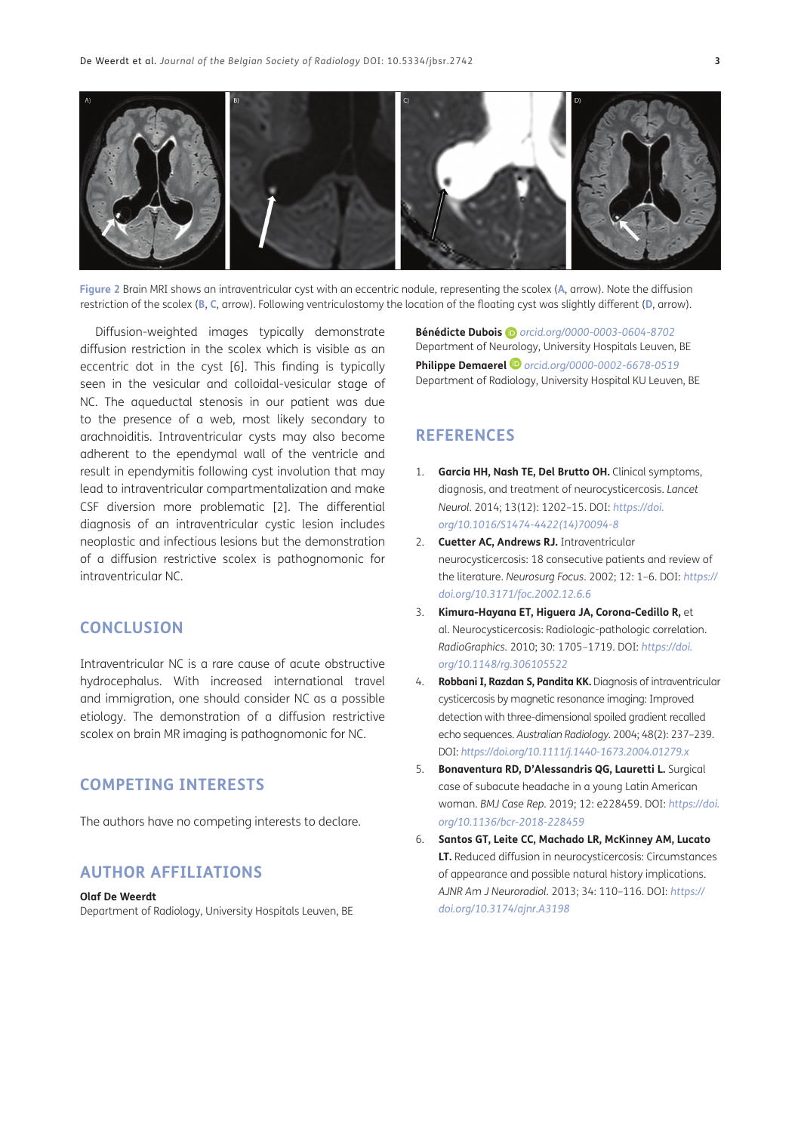

**Figure 2** Brain MRI shows an intraventricular cyst with an eccentric nodule, representing the scolex (**A**, arrow). Note the diffusion restriction of the scolex (**B**, **C**, arrow). Following ventriculostomy the location of the floating cyst was slightly different (**D**, arrow).

<span id="page-2-2"></span>Diffusion-weighted images typically demonstrate diffusion restriction in the scolex which is visible as an eccentric dot in the cyst [[6\]](#page-2-6). This finding is typically seen in the vesicular and colloidal-vesicular stage of NC. The aqueductal stenosis in our patient was due to the presence of a web, most likely secondary to arachnoiditis. Intraventricular cysts may also become adherent to the ependymal wall of the ventricle and result in ependymitis following cyst involution that may lead to intraventricular compartmentalization and make CSF diversion more problematic [[2\]](#page-2-3). The differential diagnosis of an intraventricular cystic lesion includes neoplastic and infectious lesions but the demonstration of a diffusion restrictive scolex is pathognomonic for intraventricular NC.

## **CONCLUSION**

Intraventricular NC is a rare cause of acute obstructive hydrocephalus. With increased international travel and immigration, one should consider NC as a possible etiology. The demonstration of a diffusion restrictive scolex on brain MR imaging is pathognomonic for NC.

# **COMPETING INTERESTS**

The authors have no competing interests to declare.

## <span id="page-2-0"></span>**AUTHOR AFFILIATIONS**

#### **Olaf De Weerdt**

Department of Radiology, University Hospitals Leuven, BE

**Bénédicte Dubois** *[orcid.org/0000-0003-0604-8702](https://orcid.org/0000-0003-0604-8702)* Department of Neurology, University Hospitals Leuven, BE **Philippe Demaerel** *[orcid.org/0000-0002-6678-0519](https://orcid.org/0000-0002-6678-0519)* Department of Radiology, University Hospital KU Leuven, BE

# **REFERENCES**

- <span id="page-2-1"></span>1. **Garcia HH, Nash TE, Del Brutto OH.** Clinical symptoms, diagnosis, and treatment of neurocysticercosis. *Lancet Neurol.* 2014; 13(12): 1202–15. DOI: *[https://doi.](https://doi.org/10.1016/S1474-4422(14)70094-8) [org/10.1016/S1474-4422\(14\)70094-8](https://doi.org/10.1016/S1474-4422(14)70094-8)*
- <span id="page-2-3"></span>2. **Cuetter AC, Andrews RJ.** Intraventricular neurocysticercosis: 18 consecutive patients and review of the literature. *Neurosurg Focus*. 2002; 12: 1–6. DOI: *[https://](https://doi.org/10.3171/foc.2002.12.6.6) [doi.org/10.3171/foc.2002.12.6.6](https://doi.org/10.3171/foc.2002.12.6.6)*
- <span id="page-2-4"></span>3. **Kimura-Hayana ET, Higuera JA, Corona-Cedillo R,** et al. Neurocysticercosis: Radiologic-pathologic correlation. *RadioGraphics.* 2010; 30: 1705–1719. DOI: *[https://doi.](https://doi.org/10.1148/rg.306105522) [org/10.1148/rg.306105522](https://doi.org/10.1148/rg.306105522)*
- <span id="page-2-5"></span>4. **Robbani I, Razdan S, Pandita KK.** Diagnosis of intraventricular cysticercosis by magnetic resonance imaging: Improved detection with three-dimensional spoiled gradient recalled echo sequences. *Australian Radiology.* 2004; 48(2): 237–239. DOI: *<https://doi.org/10.1111/j.1440-1673.2004.01279.x>*
- 5. **Bonaventura RD, D'Alessandris QG, Lauretti L.** Surgical case of subacute headache in a young Latin American woman. *BMJ Case Rep*. 2019; 12: e228459. DOI: *[https://doi.](https://doi.org/10.1136/bcr-2018-228459) [org/10.1136/bcr-2018-228459](https://doi.org/10.1136/bcr-2018-228459)*
- <span id="page-2-6"></span>6. **Santos GT, Leite CC, Machado LR, McKinney AM, Lucato LT.** Reduced diffusion in neurocysticercosis: Circumstances of appearance and possible natural history implications. *AJNR Am J Neuroradiol.* 2013; 34: 110–116. DOI: *[https://](https://doi.org/10.3174/ajnr.A3198) [doi.org/10.3174/ajnr.A3198](https://doi.org/10.3174/ajnr.A3198)*